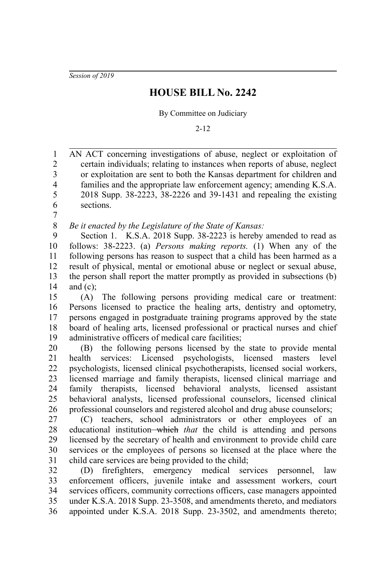*Session of 2019*

## **HOUSE BILL No. 2242**

By Committee on Judiciary

2-12

AN ACT concerning investigations of abuse, neglect or exploitation of certain individuals; relating to instances when reports of abuse, neglect or exploitation are sent to both the Kansas department for children and families and the appropriate law enforcement agency; amending K.S.A. 2018 Supp. 38-2223, 38-2226 and 39-1431 and repealing the existing sections. 1 2 3 4 5 6

7

*Be it enacted by the Legislature of the State of Kansas:* 8

Section 1. K.S.A. 2018 Supp. 38-2223 is hereby amended to read as follows: 38-2223. (a) *Persons making reports.* (1) When any of the following persons has reason to suspect that a child has been harmed as a result of physical, mental or emotional abuse or neglect or sexual abuse, the person shall report the matter promptly as provided in subsections (b) and  $(c)$ ; 9 10 11 12 13 14

(A) The following persons providing medical care or treatment: Persons licensed to practice the healing arts, dentistry and optometry, persons engaged in postgraduate training programs approved by the state board of healing arts, licensed professional or practical nurses and chief administrative officers of medical care facilities; 15 16 17 18 19

(B) the following persons licensed by the state to provide mental health services: Licensed psychologists, licensed masters level psychologists, licensed clinical psychotherapists, licensed social workers, licensed marriage and family therapists, licensed clinical marriage and family therapists, licensed behavioral analysts, licensed assistant behavioral analysts, licensed professional counselors, licensed clinical professional counselors and registered alcohol and drug abuse counselors; 20 21 22 23 24 25 26

(C) teachers, school administrators or other employees of an educational institution<del> which</del> that the child is attending and persons licensed by the secretary of health and environment to provide child care services or the employees of persons so licensed at the place where the child care services are being provided to the child; 27 28 29 30 31

(D) firefighters, emergency medical services personnel, law enforcement officers, juvenile intake and assessment workers, court services officers, community corrections officers, case managers appointed under K.S.A. 2018 Supp. 23-3508, and amendments thereto, and mediators appointed under K.S.A. 2018 Supp. 23-3502, and amendments thereto; 32 33 34 35 36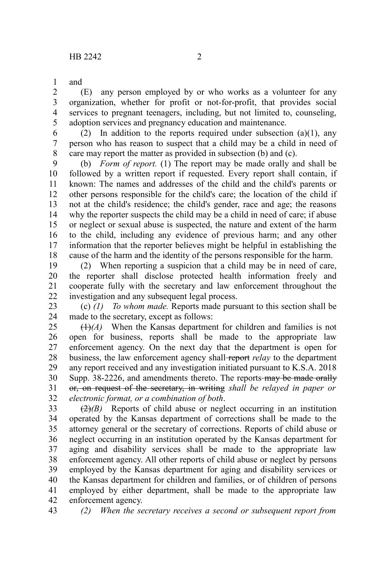and 1

(E) any person employed by or who works as a volunteer for any organization, whether for profit or not-for-profit, that provides social services to pregnant teenagers, including, but not limited to, counseling, adoption services and pregnancy education and maintenance. 2 3 4 5

(2) In addition to the reports required under subsection  $(a)(1)$ , any person who has reason to suspect that a child may be a child in need of care may report the matter as provided in subsection (b) and (c). 6 7 8

(b) *Form of report.* (1) The report may be made orally and shall be followed by a written report if requested. Every report shall contain, if known: The names and addresses of the child and the child's parents or other persons responsible for the child's care; the location of the child if not at the child's residence; the child's gender, race and age; the reasons why the reporter suspects the child may be a child in need of care; if abuse or neglect or sexual abuse is suspected, the nature and extent of the harm to the child, including any evidence of previous harm; and any other information that the reporter believes might be helpful in establishing the cause of the harm and the identity of the persons responsible for the harm. 9 10 11 12 13 14 15 16 17 18

(2) When reporting a suspicion that a child may be in need of care, the reporter shall disclose protected health information freely and cooperate fully with the secretary and law enforcement throughout the investigation and any subsequent legal process. 19 20 21 22

(c) *(1) To whom made.* Reports made pursuant to this section shall be made to the secretary, except as follows: 23 24

(1)*(A)* When the Kansas department for children and families is not open for business, reports shall be made to the appropriate law enforcement agency. On the next day that the department is open for business, the law enforcement agency shall report *relay* to the department any report received and any investigation initiated pursuant to K.S.A. 2018 Supp. 38-2226, and amendments thereto. The reports-may be made orally or, on request of the secretary, in writing *shall be relayed in paper or electronic format, or a combination of both*. 25 26 27 28 29 30 31 32

(2)*(B)* Reports of child abuse or neglect occurring in an institution operated by the Kansas department of corrections shall be made to the attorney general or the secretary of corrections. Reports of child abuse or neglect occurring in an institution operated by the Kansas department for aging and disability services shall be made to the appropriate law enforcement agency. All other reports of child abuse or neglect by persons employed by the Kansas department for aging and disability services or the Kansas department for children and families, or of children of persons employed by either department, shall be made to the appropriate law enforcement agency. 33 34 35 36 37 38 39 40 41 42

*(2) When the secretary receives a second or subsequent report from* 43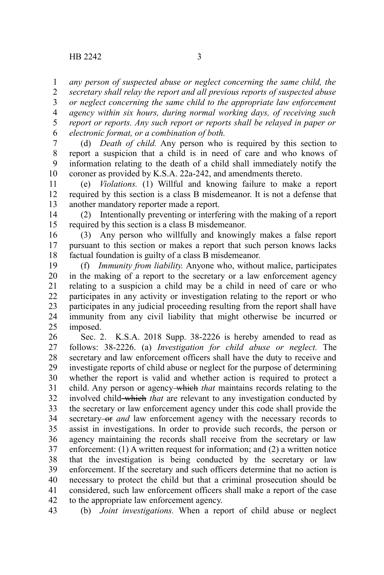*any person of suspected abuse or neglect concerning the same child, the* 1

*secretary shall relay the report and all previous reports of suspected abuse or neglect concerning the same child to the appropriate law enforcement agency within six hours, during normal working days, of receiving such report or reports. Any such report or reports shall be relayed in paper or electronic format, or a combination of both.* 2 3 4 5 6

(d) *Death of child.* Any person who is required by this section to report a suspicion that a child is in need of care and who knows of information relating to the death of a child shall immediately notify the coroner as provided by K.S.A. 22a-242, and amendments thereto. 7 8 9 10

(e) *Violations.* (1) Willful and knowing failure to make a report required by this section is a class B misdemeanor. It is not a defense that another mandatory reporter made a report. 11 12 13

(2) Intentionally preventing or interfering with the making of a report required by this section is a class B misdemeanor. 14 15

(3) Any person who willfully and knowingly makes a false report pursuant to this section or makes a report that such person knows lacks factual foundation is guilty of a class B misdemeanor. 16 17 18

(f) *Immunity from liability.* Anyone who, without malice, participates in the making of a report to the secretary or a law enforcement agency relating to a suspicion a child may be a child in need of care or who participates in any activity or investigation relating to the report or who participates in any judicial proceeding resulting from the report shall have immunity from any civil liability that might otherwise be incurred or imposed. 19 20 21 22 23 24 25

Sec. 2. K.S.A. 2018 Supp. 38-2226 is hereby amended to read as follows: 38-2226. (a) *Investigation for child abuse or neglect.* The secretary and law enforcement officers shall have the duty to receive and investigate reports of child abuse or neglect for the purpose of determining whether the report is valid and whether action is required to protect a child. Any person or agency which *that* maintains records relating to the involved child which *that* are relevant to any investigation conducted by the secretary or law enforcement agency under this code shall provide the secretary-or *and* law enforcement agency with the necessary records to assist in investigations. In order to provide such records, the person or agency maintaining the records shall receive from the secretary or law enforcement: (1) A written request for information; and (2) a written notice that the investigation is being conducted by the secretary or law enforcement. If the secretary and such officers determine that no action is necessary to protect the child but that a criminal prosecution should be considered, such law enforcement officers shall make a report of the case to the appropriate law enforcement agency. 26 27 28 29 30 31 32 33 34 35 36 37 38 39 40 41 42

(b) *Joint investigations.* When a report of child abuse or neglect 43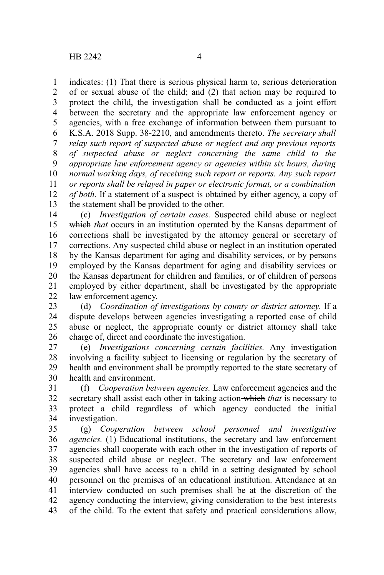indicates: (1) That there is serious physical harm to, serious deterioration of or sexual abuse of the child; and (2) that action may be required to protect the child, the investigation shall be conducted as a joint effort between the secretary and the appropriate law enforcement agency or agencies, with a free exchange of information between them pursuant to K.S.A. 2018 Supp. 38-2210, and amendments thereto. *The secretary shall relay such report of suspected abuse or neglect and any previous reports of suspected abuse or neglect concerning the same child to the appropriate law enforcement agency or agencies within six hours, during normal working days, of receiving such report or reports. Any such report or reports shall be relayed in paper or electronic format, or a combination of both.* If a statement of a suspect is obtained by either agency, a copy of the statement shall be provided to the other. 1 2 3 4 5 6 7 8 9 10 11 12 13

(c) *Investigation of certain cases.* Suspected child abuse or neglect which *that* occurs in an institution operated by the Kansas department of corrections shall be investigated by the attorney general or secretary of corrections. Any suspected child abuse or neglect in an institution operated by the Kansas department for aging and disability services, or by persons employed by the Kansas department for aging and disability services or the Kansas department for children and families, or of children of persons employed by either department, shall be investigated by the appropriate law enforcement agency. 14 15 16 17 18 19 20 21 22

(d) *Coordination of investigations by county or district attorney.* If a dispute develops between agencies investigating a reported case of child abuse or neglect, the appropriate county or district attorney shall take charge of, direct and coordinate the investigation. 23 24 25 26

(e) *Investigations concerning certain facilities.* Any investigation involving a facility subject to licensing or regulation by the secretary of health and environment shall be promptly reported to the state secretary of health and environment. 27 28 29 30

(f) *Cooperation between agencies.* Law enforcement agencies and the secretary shall assist each other in taking action which *that* is necessary to protect a child regardless of which agency conducted the initial investigation. 31 32 33 34

(g) *Cooperation between school personnel and investigative agencies.* (1) Educational institutions, the secretary and law enforcement agencies shall cooperate with each other in the investigation of reports of suspected child abuse or neglect. The secretary and law enforcement agencies shall have access to a child in a setting designated by school personnel on the premises of an educational institution. Attendance at an interview conducted on such premises shall be at the discretion of the agency conducting the interview, giving consideration to the best interests of the child. To the extent that safety and practical considerations allow, 35 36 37 38 39 40 41 42 43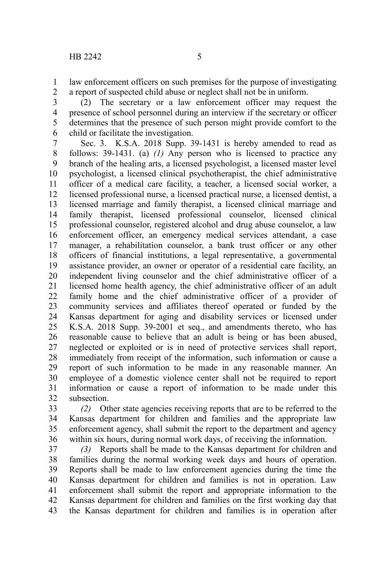law enforcement officers on such premises for the purpose of investigating a report of suspected child abuse or neglect shall not be in uniform. 1 2

(2) The secretary or a law enforcement officer may request the presence of school personnel during an interview if the secretary or officer determines that the presence of such person might provide comfort to the child or facilitate the investigation. 3 4 5 6

Sec. 3. K.S.A. 2018 Supp. 39-1431 is hereby amended to read as follows: 39-1431. (a) *(1)* Any person who is licensed to practice any branch of the healing arts, a licensed psychologist, a licensed master level psychologist, a licensed clinical psychotherapist, the chief administrative officer of a medical care facility, a teacher, a licensed social worker, a licensed professional nurse, a licensed practical nurse, a licensed dentist, a licensed marriage and family therapist, a licensed clinical marriage and family therapist, licensed professional counselor, licensed clinical professional counselor, registered alcohol and drug abuse counselor, a law enforcement officer, an emergency medical services attendant, a case manager, a rehabilitation counselor, a bank trust officer or any other officers of financial institutions, a legal representative, a governmental assistance provider, an owner or operator of a residential care facility, an independent living counselor and the chief administrative officer of a licensed home health agency, the chief administrative officer of an adult family home and the chief administrative officer of a provider of community services and affiliates thereof operated or funded by the Kansas department for aging and disability services or licensed under K.S.A. 2018 Supp. 39-2001 et seq., and amendments thereto, who has reasonable cause to believe that an adult is being or has been abused, neglected or exploited or is in need of protective services shall report, immediately from receipt of the information, such information or cause a report of such information to be made in any reasonable manner. An employee of a domestic violence center shall not be required to report information or cause a report of information to be made under this subsection. 7 8 9 10 11 12 13 14 15 16 17 18 19 20 21 22 23 24 25 26 27 28 29 30 31 32

*(2)* Other state agencies receiving reports that are to be referred to the Kansas department for children and families and the appropriate law enforcement agency, shall submit the report to the department and agency within six hours, during normal work days, of receiving the information. 33 34 35 36

*(3)* Reports shall be made to the Kansas department for children and families during the normal working week days and hours of operation. Reports shall be made to law enforcement agencies during the time the Kansas department for children and families is not in operation. Law enforcement shall submit the report and appropriate information to the Kansas department for children and families on the first working day that the Kansas department for children and families is in operation after 37 38 39 40 41 42 43